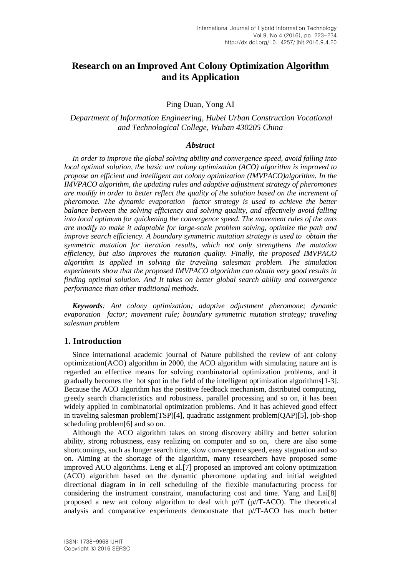# **Research on an Improved Ant Colony Optimization Algorithm and its Application**

Ping Duan, Yong AI

### *Department of Information Engineering, Hubei Urban Construction Vocational and Technological College, Wuhan 430205 China*

### *Abstract*

*In order to improve the global solving ability and convergence speed, avoid falling into local optimal solution, the basic ant colony optimization (ACO) algorithm is improved to propose an efficient and intelligent ant colony optimization (IMVPACO)algorithm. In the IMVPACO algorithm, the updating rules and adaptive adjustment strategy of pheromones are modify in order to better reflect the quality of the solution based on the increment of pheromone. The dynamic evaporation factor strategy is used to achieve the better balance between the solving efficiency and solving quality, and effectively avoid falling into local optimum for quickening the convergence speed. The movement rules of the ants are modify to make it adaptable for large-scale problem solving, optimize the path and improve search efficiency. A boundary symmetric mutation strategy is used to obtain the symmetric mutation for iteration results, which not only strengthens the mutation efficiency, but also improves the mutation quality. Finally, the proposed IMVPACO algorithm is applied in solving the traveling salesman problem. The simulation experiments show that the proposed IMVPACO algorithm can obtain very good results in finding optimal solution. And It takes on better global search ability and convergence performance than other traditional methods.*

*Keywords: Ant colony optimization; adaptive adjustment pheromone; dynamic evaporation factor; movement rule; boundary symmetric mutation strategy; traveling salesman problem*

### **1. Introduction**

Since international academic journal of Nature published the review of ant colony optimization(ACO) algorithm in 2000, the ACO algorithm with simulating nature ant is regarded an effective means for solving combinatorial optimization problems, and it gradually becomes the hot spot in the field of the intelligent optimization algorithms[1-3]. Because the ACO algorithm has the positive feedback mechanism, distributed computing, greedy search characteristics and robustness, parallel processing and so on, it has been widely applied in combinatorial optimization problems. And it has achieved good effect in traveling salesman problem(TSP)[4], quadratic assignment problem(QAP)[5], job-shop scheduling problem[6] and so on.

Although the ACO algorithm takes on strong discovery ability and better solution ability, strong robustness, easy realizing on computer and so on, there are also some shortcomings, such as longer search time, slow convergence speed, easy stagnation and so on. Aiming at the shortage of the algorithm, many researchers have proposed some improved ACO algorithms. Leng et al.[7] proposed an improved ant colony optimization (ACO) algorithm based on the dynamic pheromone updating and initial weighted directional diagram in in cell scheduling of the flexible manufacturing process for considering the instrument constraint, manufacturing cost and time. Yang and Lai[8] proposed a new ant colony algorithm to deal with  $p/T$  ( $p/T$ -ACO). The theoretical analysis and comparative experiments demonstrate that p//T-ACO has much better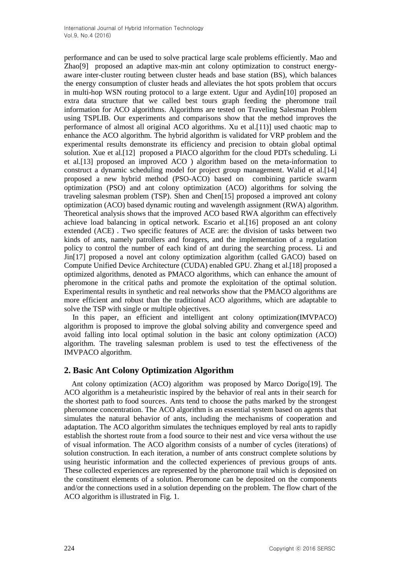performance and can be used to solve practical large scale problems efficiently. Mao and Zhao[9] proposed an adaptive max-min ant colony optimization to construct energyaware inter-cluster routing between cluster heads and base station (BS), which balances the energy consumption of cluster heads and alleviates the hot spots problem that occurs in multi-hop WSN routing protocol to a large extent. Ugur and Aydin[10] proposed an extra data structure that we called best tours graph feeding the pheromone trail information for ACO algorithms. Algorithms are tested on Traveling Salesman Problem using TSPLIB. Our experiments and comparisons show that the method improves the performance of almost all original ACO algorithms. Xu et al.[11)] used chaotic map to enhance the ACO algorithm. The hybrid algorithm is validated for VRP problem and the experimental results demonstrate its efficiency and precision to obtain global optimal solution. Xue et al.[12] proposed a PIACO algorithm for the cloud PDTs scheduling. Li et al.[13] proposed an improved ACO ) algorithm based on the meta-information to construct a dynamic scheduling model for project group management. Walid et al.[14] proposed a new hybrid method (PSO-ACO) based on combining particle swarm optimization (PSO) and ant colony optimization (ACO) algorithms for solving the traveling salesman problem (TSP). Shen and Chen[15] proposed a improved ant colony optimization (ACO) based dynamic routing and wavelength assignment (RWA) algorithm. Theoretical analysis shows that the improved ACO based RWA algorithm can effectively achieve load balancing in optical network. Escario et al.[16] proposed an ant colony extended (ACE) . Two specific features of ACE are: the division of tasks between two kinds of ants, namely patrollers and foragers, and the implementation of a regulation policy to control the number of each kind of ant during the searching process. Li and Jin[17] proposed a novel ant colony optimization algorithm (called GACO) based on Compute Unified Device Architecture (CUDA) enabled GPU. Zhang et al.[18] proposed a optimized algorithms, denoted as PMACO algorithms, which can enhance the amount of pheromone in the critical paths and promote the exploitation of the optimal solution. Experimental results in synthetic and real networks show that the PMACO algorithms are more efficient and robust than the traditional ACO algorithms, which are adaptable to solve the TSP with single or multiple objectives.

In this paper, an efficient and intelligent ant colony optimization(IMVPACO) algorithm is proposed to improve the global solving ability and convergence speed and avoid falling into local optimal solution in the basic ant colony optimization (ACO) algorithm. The traveling salesman problem is used to test the effectiveness of the IMVPACO algorithm.

## **2. Basic Ant Colony Optimization Algorithm**

Ant colony optimization (ACO) algorithm was proposed by Marco Dorigo[19]. The ACO algorithm is a metaheuristic inspired by the behavior of real ants in their search for the shortest path to food sources. Ants tend to choose the paths marked by the strongest pheromone concentration. The ACO algorithm is an essential system based on agents that simulates the natural behavior of ants, including the mechanisms of cooperation and adaptation. The ACO algorithm simulates the techniques employed by real ants to rapidly establish the shortest route from a food source to their nest and vice versa without the use of visual information. The ACO algorithm consists of a number of cycles (iterations) of solution construction. In each iteration, a number of ants construct complete solutions by using heuristic information and the collected experiences of previous groups of ants. These collected experiences are represented by the pheromone trail which is deposited on the constituent elements of a solution. Pheromone can be deposited on the components and/or the connections used in a solution depending on the problem. The flow chart of the ACO algorithm is illustrated in Fig. 1.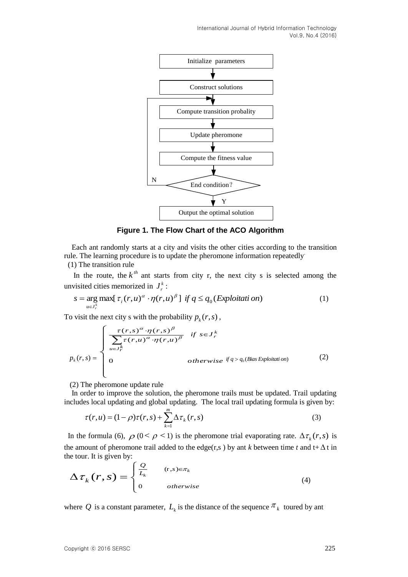International Journal of Hybrid Information Technology Vol.9, No.4 (2016)



**Figure 1. The Flow Chart of the ACO Algorithm**

Each ant randomly starts at a city and visits the other cities according to the transition rule. The learning procedure is to update the pheromone information repeatedly.

(1) The transition rule

In the route, the  $k^{th}$  ant starts from city r, the next city s is selected among the unvisited cities memorized in  $J_r^k$  ${J}^{\scriptscriptstyle k}_{\scriptscriptstyle r}$  :

$$
s = \underset{u \in J_r^k}{\arg \max} [\tau_i(r, u)^\alpha \cdot \eta(r, u)^\beta] \text{ if } q \le q_0(\text{Exploitation})
$$
 (1)

To visit the next city s with the probability  $p_k(r, s)$ ,

$$
p_k(r,s) = \begin{cases} \frac{\tau(r,s)^\alpha \cdot \eta(r,s)^\beta}{\sum_{u \in J_r^k} \tau(r,u)^\alpha \cdot \eta(r,u)^\beta} & \text{if } s \in J_r^k\\ 0 & \text{otherwise} \text{ if } q > q_0(\text{Bias Exploitation}) \end{cases} \tag{2}
$$

(2) The pheromone update rule

In order to improve the solution, the pheromone trails must be updated. Trail updating includes local updating and global updating. The local trail updating formula is given by:

$$
\tau(r, u) = (1 - \rho)\tau(r, s) + \sum_{k=1}^{m} \Delta \tau_k(r, s)
$$
\n(3)

In the formula (6),  $\rho$  ( $0 < \rho < 1$ ) is the pheromone trial evaporating rate.  $\Delta \tau_k(r,s)$  is the amount of pheromone trail added to the edge(r,s) by ant *k* between time *t* and  $t + \Delta t$  in the tour. It is given by:

$$
\Delta \tau_k(r,s) = \begin{cases} \frac{Q}{L_k} & (r,s) \in \pi_k \\ 0 & otherwise \end{cases}
$$
 (4)

where Q is a constant parameter,  $L_k$  is the distance of the sequence  $\pi_k$  toured by ant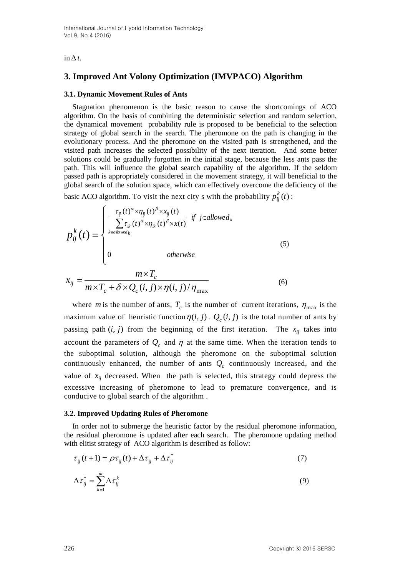### $\ln \Delta t$ .

## **3. Improved Ant Volony Optimization (IMVPACO) Algorithm**

### **3.1. Dynamic Movement Rules of Ants**

Stagnation phenomenon is the basic reason to cause the shortcomings of ACO algorithm. On the basis of combining the deterministic selection and random selection, the dynamical movement probability rule is proposed to be beneficial to the selection strategy of global search in the search. The pheromone on the path is changing in the evolutionary process. And the pheromone on the visited path is strengthened, and the visited path increases the selected possibility of the next iteration. And some better solutions could be gradually forgotten in the initial stage, because the less ants pass the path. This will influence the global search capability of the algorithm. If the seldom passed path is appropriately considered in the movement strategy, it will beneficial to the global search of the solution space, which can effectively overcome the deficiency of the basic ACO algorithm. To visit the next city s with the probability  $p_{ii}^k(t)$  $_{ij}^{\kappa}\left( t\right)$  :

$$
p_{ij}^{k}(t) = \begin{cases} \frac{\tau_{ij}(t)^{\alpha} \times \eta_{ij}(t)^{\beta} \times x_{ij}(t)}{\sum_{k \in allowed_k} \tau_{ik}(t)^{\alpha} \times \eta_{ik}(t)^{\beta} \times x(t)} & \text{if } j \in allowed_k\\ 0 & \text{otherwise} \end{cases}
$$
\n
$$
(5)
$$
\n
$$
m \times T_c
$$

$$
x_{ij} = \frac{m \times I_c}{m \times T_c + \delta \times Q_c(i, j) \times \eta(i, j) / \eta_{\text{max}}}
$$
(6)

where *m* is the number of ants,  $T_c$  is the number of current iterations,  $\eta_{\text{max}}$  is the maximum value of heuristic function  $\eta(i, j)$ .  $Q_c(i, j)$  is the total number of ants by passing path  $(i, j)$  from the beginning of the first iteration. The  $x_{ij}$  takes into account the parameters of  $Q_c$  and  $\eta$  at the same time. When the iteration tends to the suboptimal solution, although the pheromone on the suboptimal solution continuously enhanced, the number of ants  $Q_c$  continuously increased, and the value of  $x_{ij}$  decreased. When the path is selected, this strategy could depress the excessive increasing of pheromone to lead to premature convergence, and is conducive to global search of the algorithm .

#### **3.2. Improved Updating Rules of Pheromone**

In order not to submerge the heuristic factor by the residual pheromone information, the residual pheromone is updated after each search. The pheromone updating method with elitist strategy of ACO algorithm is described as follow:

$$
\tau_{ij}(t+1) = \rho \tau_{ij}(t) + \Delta \tau_{ij} + \Delta \tau_{ij}^* \tag{7}
$$

$$
\Delta \tau_{ij}^* = \sum_{k=1}^m \Delta \tau_{ij}^k \tag{9}
$$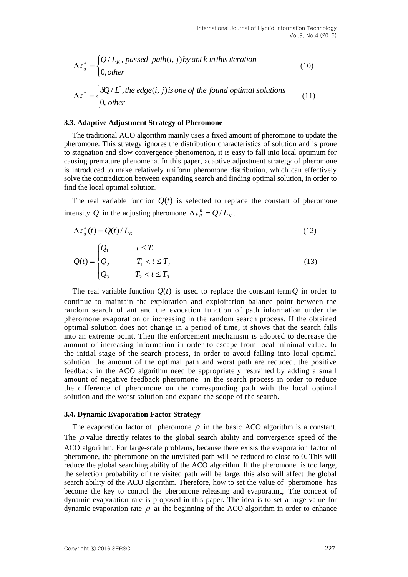$$
\Delta \tau_{ij}^k = \begin{cases} Q/L_k, \text{ passed path}(i, j) \text{ by ant } k \text{ in this iteration} \\ 0, \text{ other} \end{cases} \tag{10}
$$

$$
\Delta \tau^* = \begin{cases} \delta Q/L^*, \text{the edge}(i, j) \text{ is one of the found optimal solutions} \\ 0, \text{ other} \end{cases} \tag{11}
$$

#### **3.3. Adaptive Adjustment Strategy of Pheromone**

The traditional ACO algorithm mainly uses a fixed amount of pheromone to update the pheromone. This strategy ignores the distribution characteristics of solution and is prone to stagnation and slow convergence phenomenon, it is easy to fall into local optimum for causing premature phenomena. In this paper, adaptive adjustment strategy of pheromone is introduced to make relatively uniform pheromone distribution, which can effectively solve the contradiction between expanding search and finding optimal solution, in order to find the local optimal solution.

The real variable function  $Q(t)$  is selected to replace the constant of pheromone intensity Q in the adjusting pheromone  $\Delta \tau_{ij}^k = Q/L_k$ .

$$
\Delta \tau_{ij}^k(t) = Q(t) / L_K \tag{12}
$$

$$
Q(t) = \begin{cases} Q_1 & t \le T_1 \\ Q_2 & T_1 < t \le T_2 \\ Q_3 & T_2 < t \le T_3 \end{cases}
$$
 (13)

The real variable function  $Q(t)$  is used to replace the constant term  $Q$  in order to continue to maintain the exploration and exploitation balance point between the random search of ant and the evocation function of path information under the pheromone evaporation or increasing in the random search process. If the obtained optimal solution does not change in a period of time, it shows that the search falls into an extreme point. Then the enforcement mechanism is adopted to decrease the amount of increasing information in order to escape from local minimal value. In the initial stage of the search process, in order to avoid falling into local optimal solution, the amount of the optimal path and worst path are reduced, the positive feedback in the ACO algorithm need be appropriately restrained by adding a small amount of negative feedback pheromone in the search process in order to reduce the difference of pheromone on the corresponding path with the local optimal solution and the worst solution and expand the scope of the search.

#### **3.4. Dynamic Evaporation Factor Strategy**

The evaporation factor of pheromone  $\rho$  in the basic ACO algorithm is a constant. The  $\rho$  value directly relates to the global search ability and convergence speed of the ACO algorithm. For large-scale problems, because there exists the evaporation factor of pheromone, the pheromone on the unvisited path will be reduced to close to 0. This will reduce the global searching ability of the ACO algorithm. If the pheromone is too large, the selection probability of the visited path will be large, this also will affect the global search ability of the ACO algorithm. Therefore, how to set the value of pheromone has become the key to control the pheromone releasing and evaporating. The concept of dynamic evaporation rate is proposed in this paper. The idea is to set a large value for dynamic evaporation rate  $\rho$  at the beginning of the ACO algorithm in order to enhance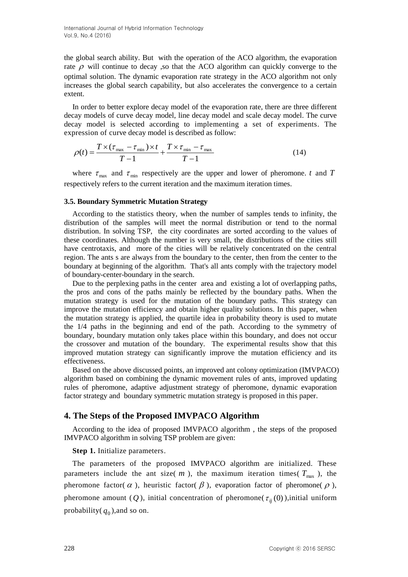the global search ability. But with the operation of the ACO algorithm, the evaporation rate  $\rho$  will continue to decay , so that the ACO algorithm can quickly converge to the optimal solution. The dynamic evaporation rate strategy in the ACO algorithm not only increases the global search capability, but also accelerates the convergence to a certain extent.

In order to better explore decay model of the evaporation rate, there are three different decay models of curve decay model, line decay model and scale decay model. The curve decay model is selected according to implementing a set of experiments. The expression of curve decay model is described as follow:

$$
\rho(t) = \frac{T \times (\tau_{\text{max}} - \tau_{\text{min}}) \times t}{T - 1} + \frac{T \times \tau_{\text{min}} - \tau_{\text{max}}}{T - 1}
$$
\n(14)

where  $\tau_{\text{max}}$  and  $\tau_{\text{min}}$  respectively are the upper and lower of pheromone. *t* and *T* respectively refers to the current iteration and the maximum iteration times.

#### **3.5. Boundary Symmetric Mutation Strategy**

According to the statistics theory, when the number of samples tends to infinity, the distribution of the samples will meet the normal distribution or tend to the normal distribution. In solving TSP, the city coordinates are sorted according to the values of these coordinates. Although the number is very small, the distributions of the cities still have centrotaxis, and more of the cities will be relatively concentrated on the central region. The ants s are always from the boundary to the center, then from the center to the boundary at beginning of the algorithm. That's all ants comply with the trajectory model of boundary-center-boundary in the search.

Due to the perplexing paths in the center area and existing a lot of overlapping paths, the pros and cons of the paths mainly be reflected by the boundary paths. When the mutation strategy is used for the mutation of the boundary paths. This strategy can improve the mutation efficiency and obtain higher quality solutions. In this paper, when the mutation strategy is applied, the quartile idea in probability theory is used to mutate the 1/4 paths in the beginning and end of the path. According to the symmetry of boundary, boundary mutation only takes place within this boundary, and does not occur the crossover and mutation of the boundary. The experimental results show that this improved mutation strategy can significantly improve the mutation efficiency and its effectiveness.

Based on the above discussed points, an improved ant colony optimization (IMVPACO) algorithm based on combining the dynamic movement rules of ants, improved updating rules of pheromone, adaptive adjustment strategy of pheromone, dynamic evaporation factor strategy and boundary symmetric mutation strategy is proposed in this paper.

### **4. The Steps of the Proposed IMVPACO Algorithm**

According to the idea of proposed IMVPACO algorithm , the steps of the proposed IMVPACO algorithm in solving TSP problem are given:

**Step 1.** Initialize parameters.

The parameters of the proposed IMVPACO algorithm are initialized. These parameters include the ant size( $m$ ), the maximum iteration times( $T_{\text{max}}$ ), the pheromone factor( $\alpha$ ), heuristic factor( $\beta$ ), evaporation factor of pheromone( $\rho$ ), pheromone amount (Q), initial concentration of pheromone( $\tau_{ij}(0)$ ), initial uniform probability( $q_0$ ), and so on.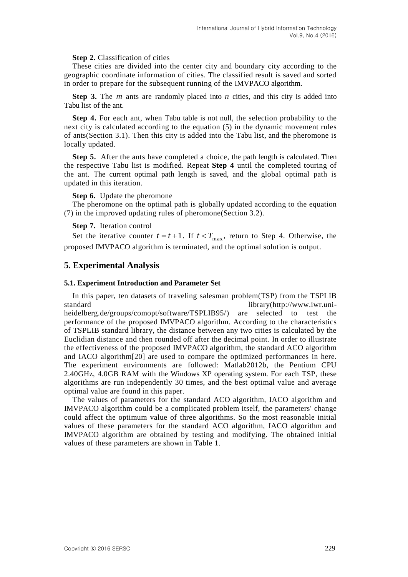### **Step 2.** Classification of cities

These cities are divided into the center city and boundary city according to the geographic coordinate information of cities. The classified result is saved and sorted in order to prepare for the subsequent running of the IMVPACO algorithm.

**Step 3.** The  $m$  ants are randomly placed into  $n$  cities, and this city is added into Tabu list of the ant.

**Step 4.** For each ant, when Tabu table is not null, the selection probability to the next city is calculated according to the equation (5) in the dynamic movement rules of ants(Section 3.1). Then this city is added into the Tabu list, and the pheromone is locally updated.

**Step 5.** After the ants have completed a choice, the path length is calculated. Then the respective Tabu list is modified. Repeat **Step 4** until the completed touring of the ant. The current optimal path length is saved, and the global optimal path is updated in this iteration.

#### **Step 6.** Update the pheromone

The pheromone on the optimal path is globally updated according to the equation (7) in the improved updating rules of pheromone(Section 3.2).

### **Step 7.** Iteration control

Set the iterative counter  $t = t + 1$ . If  $t < T_{\text{max}}$ , return to Step 4. Otherwise, the proposed IMVPACO algorithm is terminated, and the optimal solution is output.

### **5. Experimental Analysis**

### **5.1. Experiment Introduction and Parameter Set**

In this paper, ten datasets of traveling salesman problem(TSP) from the TSPLIB standard library(http://www.iwr.uniheidelberg.de/groups/comopt/software/TSPLIB95/) are selected to test the performance of the proposed IMVPACO algorithm. According to the characteristics of TSPLIB standard library, the distance between any two cities is calculated by the Euclidian distance and then rounded off after the decimal point. In order to illustrate the effectiveness of the proposed IMVPACO algorithm, the standard ACO algorithm and IACO algorithm[20] are used to compare the optimized performances in here. The experiment environments are followed: Matlab2012b, the Pentium CPU 2.40GHz, 4.0GB RAM with the Windows XP operating system. For each TSP, these algorithms are run independently 30 times, and the best optimal value and average optimal value are found in this paper.

The values of parameters for the standard ACO algorithm, IACO algorithm and IMVPACO algorithm could be a complicated problem itself, the parameters' change could affect the optimum value of three algorithms. So the most reasonable initial values of these parameters for the standard ACO algorithm, IACO algorithm and IMVPACO algorithm are obtained by testing and modifying. The obtained initial values of these parameters are shown in Table 1.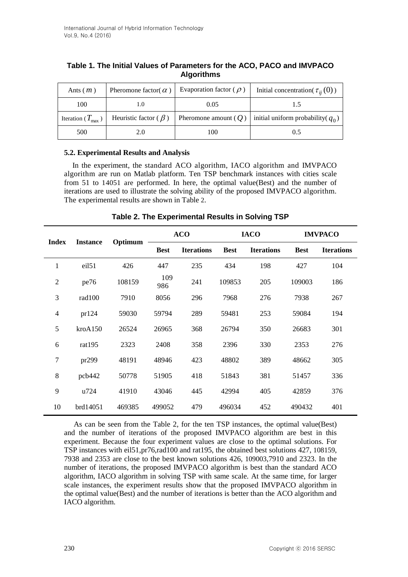| Ants $(m)$                     | Pheromone factor( $\alpha$ ) | Evaporation factor ( $\rho$ ) | Initial concentration( $\tau_{ii}(0)$ ) |  |  |
|--------------------------------|------------------------------|-------------------------------|-----------------------------------------|--|--|
| 100                            |                              | 0.05                          |                                         |  |  |
| Iteration ( $T_{\text{max}}$ ) | Heuristic factor ( $\beta$ ) | Pheromone amount $(Q)$        | initial uniform probability( $q_0$ )    |  |  |
| 500                            | 2.0                          | 100                           | 0.5                                     |  |  |

## **Table 1. The Initial Values of Parameters for the ACO, PACO and IMVPACO Algorithms**

### **5.2. Experimental Results and Analysis**

In the experiment, the standard ACO algorithm, IACO algorithm and IMVPACO algorithm are run on Matlab platform. Ten TSP benchmark instances with cities scale from 51 to 14051 are performed. In here, the optimal value(Best) and the number of iterations are used to illustrate the solving ability of the proposed IMVPACO algorithm. The experimental results are shown in Table 2.

| <b>Index</b>   | <b>Instance</b>   | Optimum | <b>ACO</b>  |                   | <b>IACO</b> |                   | <b>IMVPACO</b> |                   |
|----------------|-------------------|---------|-------------|-------------------|-------------|-------------------|----------------|-------------------|
|                |                   |         | <b>Best</b> | <b>Iterations</b> | <b>Best</b> | <b>Iterations</b> | <b>Best</b>    | <b>Iterations</b> |
| $\mathbf{1}$   | eil <sub>51</sub> | 426     | 447         | 235               | 434         | 198               | 427            | 104               |
| $\overline{2}$ | pe76              | 108159  | 109<br>986  | 241               | 109853      | 205               | 109003         | 186               |
| 3              | rad100            | 7910    | 8056        | 296               | 7968        | 276               | 7938           | 267               |
| $\overline{4}$ | pr124             | 59030   | 59794       | 289               | 59481       | 253               | 59084          | 194               |
| 5              | kroA150           | 26524   | 26965       | 368               | 26794       | 350               | 26683          | 301               |
| 6              | rat195            | 2323    | 2408        | 358               | 2396        | 330               | 2353           | 276               |
| $\overline{7}$ | pr299             | 48191   | 48946       | 423               | 48802       | 389               | 48662          | 305               |
| 8              | pcb442            | 50778   | 51905       | 418               | 51843       | 381               | 51457          | 336               |
| 9              | u724              | 41910   | 43046       | 445               | 42994       | 405               | 42859          | 376               |
| 10             | brd14051          | 469385  | 499052      | 479               | 496034      | 452               | 490432         | 401               |

**Table 2. The Experimental Results in Solving TSP**

As can be seen from the Table 2, for the ten TSP instances, the optimal value(Best) and the number of iterations of the proposed IMVPACO algorithm are best in this experiment. Because the four experiment values are close to the optimal solutions. For TSP instances with eil51,pr76,rad100 and rat195, the obtained best solutions 427, 108159, 7938 and 2353 are close to the best known solutions 426, 109003,7910 and 2323. In the number of iterations, the proposed IMVPACO algorithm is best than the standard ACO algorithm, IACO algorithm in solving TSP with same scale. At the same time, for larger scale instances, the experiment results show that the proposed IMVPACO algorithm in the optimal value(Best) and the number of iterations is better than the ACO algorithm and IACO algorithm.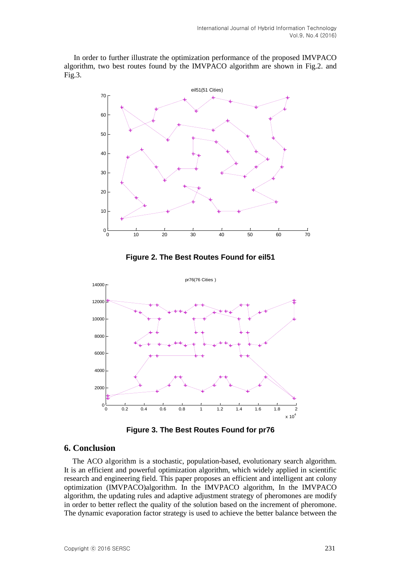In order to further illustrate the optimization performance of the proposed IMVPACO algorithm, two best routes found by the IMVPACO algorithm are shown in Fig.2. and Fig.3.



**Figure 2. The Best Routes Found for eil51**



**Figure 3. The Best Routes Found for pr76**

### **6. Conclusion**

The ACO algorithm is a stochastic, population-based, evolutionary search algorithm. It is an efficient and powerful optimization algorithm, which widely applied in scientific research and engineering field. This paper proposes an efficient and intelligent ant colony optimization (IMVPACO)algorithm. In the IMVPACO algorithm, In the IMVPACO algorithm, the updating rules and adaptive adjustment strategy of pheromones are modify in order to better reflect the quality of the solution based on the increment of pheromone. The dynamic evaporation factor strategy is used to achieve the better balance between the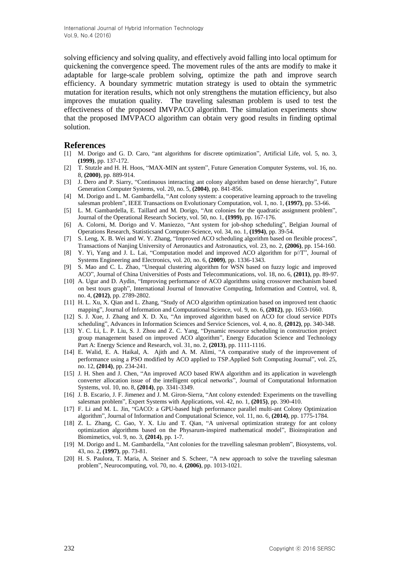solving efficiency and solving quality, and effectively avoid falling into local optimum for quickening the convergence speed. The movement rules of the ants are modify to make it adaptable for large-scale problem solving, optimize the path and improve search efficiency. A boundary symmetric mutation strategy is used to obtain the symmetric mutation for iteration results, which not only strengthens the mutation efficiency, but also improves the mutation quality. The traveling salesman problem is used to test the effectiveness of the proposed IMVPACO algorithm. The simulation experiments show that the proposed IMVPACO algorithm can obtain very good results in finding optimal solution.

#### **References**

- [1] M. Dorigo and G. D. Caro, "ant algorithms for discrete optimization", Artificial Life, vol. 5, no. 3, **(1999)**, pp. 137-172.
- [2] T. Stutzle and H. H. Hoos, "MAX-MIN ant system", Future Generation Computer Systems, vol. 16, no. 8, **(2000)**, pp. 889-914.
- [3] J. Dero and P. Siarry, "Continuous interacting ant colony algorithm based on dense hierarchy", Future Generation Computer Systems, vol. 20, no. 5, **(2004)**, pp. 841-856.
- [4] M. Dorigo and L. M. Gambardella, "Ant colony system: a cooperative learning approach to the traveling salesman problem", IEEE Transactions on Evolutionary Computation, vol. 1, no. 1, **(1997)**, pp. 53-66.
- [5] L. M. Gambardella, E. Taillard and M. Dorigo, "Ant colonies for the quadratic assignment problem", Journal of the Operational Research Society, vol. 50, no. 1, **(1999)**, pp. 167-176.
- [6] A. Colorni, M. Dorigo and V. Maniezzo, "Ant system for job-shop scheduling", Belgian Journal of Operations Research, Statisticsand Computer-Science, vol. 34, no. 1, **(1994)**, pp. 39-54.
- [7] S. Leng, X. B. Wei and W. Y. Zhang, "Improved ACO scheduling algorithm based on flexible process", Transactions of Nanjing University of Aeronautics and Astronautics, vol. 23, no. 2, **(2006)**, pp. 154-160.
- [8] Y. Yi, Yang and J. L. Lai, "Computation model and improved ACO algorithm for p//T", Journal of Systems Engineering and Electronics, vol. 20, no. 6, **(2009)**, pp. 1336-1343.
- [9] S. Mao and C. L. Zhao, "Unequal clustering algorithm for WSN based on fuzzy logic and improved ACO", Journal of China Universities of Posts and Telecommunications, vol. 18, no. 6, **(2011)**, pp. 89-97.
- [10] A. Ugur and D. Aydin, "Improving performance of ACO algorithms using crossover mechanism based on best tours graph", International Journal of Innovative Computing, Information and Control, vol. 8, no. 4, **(2012)**, pp. 2789-2802.
- [11] H. L. Xu, X. Qian and L. Zhang, "Study of ACO algorithm optimization based on improved tent chaotic mapping", Journal of Information and Computational Science, vol. 9, no. 6, **(2012)**, pp. 1653-1660.
- [12] S. J. Xue, J. Zhang and X. D. Xu, "An improved algorithm based on ACO for cloud service PDTs scheduling", Advances in Information Sciences and Service Sciences, vol. 4, no. 8, **(2012)**, pp. 340-348.
- [13] Y. C. Li, L. P. Liu, S. J. Zhou and Z. C. Yang, "Dynamic resource scheduling in construction project group management based on improved ACO algorithm", Energy Education Science and Technology Part A: Energy Science and Research, vol. 31, no. 2, **(2013)**, pp. 1111-1116.
- [14] E. Walid, E. A. Haikal, A. Ajith and A. M. Alimi, "A comparative study of the improvement of performance using a PSO modified by ACO applied to TSP.Applied Soft Computing Journal", vol. 25, no. 12, **(2014)**, pp. 234-241.
- [15] J. H. Shen and J. Chen, "An improved ACO based RWA algorithm and its application in wavelength converter allocation issue of the intelligent optical networks", Journal of Computational Information Systems, vol. 10, no. 8, **(2014)**, pp. 3341-3349.
- [16] J. B. Escario, J. F. Jimenez and J. M. Giron-Sierra, "Ant colony extended: Experiments on the travelling salesman problem", Expert Systems with Applications, vol. 42, no. 1, **(2015)**, pp. 390-410.
- [17] F. Li and M. L. Jin, "GACO: a GPU-based high performance parallel multi-ant Colony Optimization algorithm", Journal of Information and Computational Science, vol. 11, no. 6, **(2014)**, pp. 1775-1784.
- [18] Z. L. Zhang, C. Gao, Y. X. Liu and T. Qian, "A universal optimization strategy for ant colony optimization algorithms based on the Physarum-inspired mathematical model", Bioinspiration and Biomimetics, vol. 9, no. 3, **(2014)**, pp. 1-7.
- [19] M. Dorigo and L. M. Gambardella, "Ant colonies for the travelling salesman problem", Biosystems, vol. 43, no. 2, **(1997)**, pp. 73-81.
- [20] H. S. Paulora, T. Maria, A. Steiner and S. Scheer, "A new approach to solve the traveling salesman problem", Neurocomputing, vol. 70, no. 4, **(2006)**, pp. 1013-1021.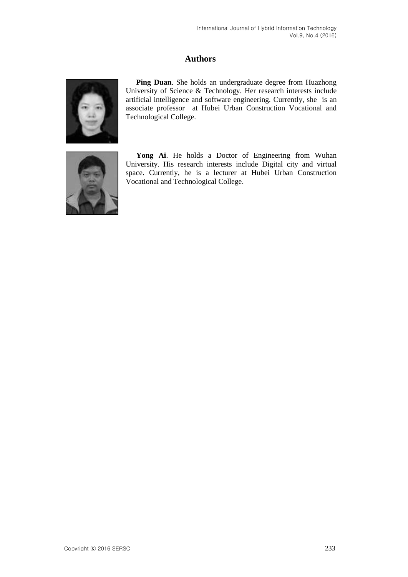# **Authors**



**Ping Duan**. She holds an undergraduate degree from Huazhong University of Science & Technology. Her research interests include artificial intelligence and software engineering. Currently, she is an associate professor at Hubei Urban Construction Vocational and Technological College.



Yong Ai. He holds a Doctor of Engineering from Wuhan University. His research interests include Digital city and virtual space. Currently, he is a lecturer at Hubei Urban Construction Vocational and Technological College.